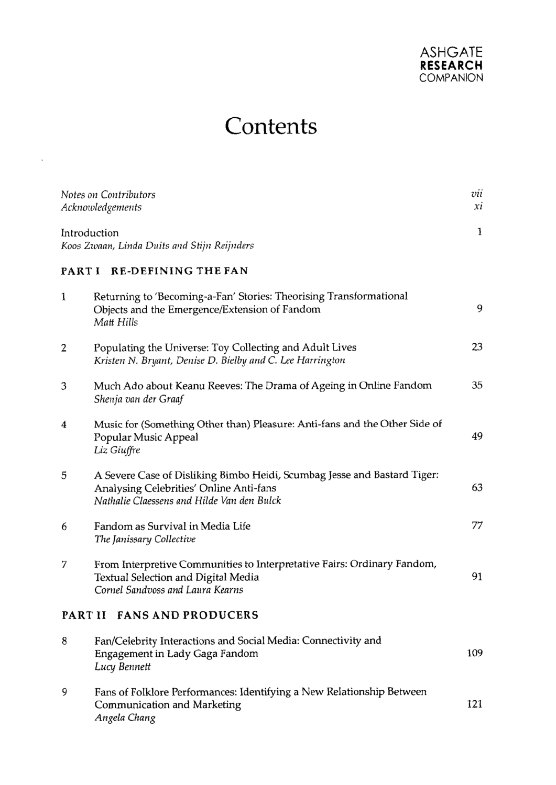

## **Contents**

 $\sim$ 

| Notes on Contributors<br>Acknowledgements |                                                                                                                                                                   | vii<br>хi |  |
|-------------------------------------------|-------------------------------------------------------------------------------------------------------------------------------------------------------------------|-----------|--|
| Introduction                              | Koos Zwaan, Linda Duits and Stijn Reijnders                                                                                                                       | 1         |  |
| <b>RE-DEFINING THE FAN</b><br>PART I      |                                                                                                                                                                   |           |  |
| 1                                         | Returning to 'Becoming-a-Fan' Stories: Theorising Transformational<br>Objects and the Emergence/Extension of Fandom<br>Matt Hills                                 | 9         |  |
| 2                                         | Populating the Universe: Toy Collecting and Adult Lives<br>Kristen N. Bryant, Denise D. Bielby and C. Lee Harrington                                              | 23        |  |
| 3                                         | Much Ado about Keanu Reeves: The Drama of Ageing in Online Fandom<br>Shenja van der Graaf                                                                         | 35        |  |
| 4                                         | Music for (Something Other than) Pleasure: Anti-fans and the Other Side of<br>Popular Music Appeal<br>Liz Giuffre                                                 | 49        |  |
| 5                                         | A Severe Case of Disliking Bimbo Heidi, Scumbag Jesse and Bastard Tiger:<br>Analysing Celebrities' Online Anti-fans<br>Nathalie Claessens and Hilde Van den Bulck | 63        |  |
| 6                                         | Fandom as Survival in Media Life<br>The Janissary Collective                                                                                                      | 77        |  |
| 7                                         | From Interpretive Communities to Interpretative Fairs: Ordinary Fandom,<br>Textual Selection and Digital Media<br>Cornel Sandvoss and Laura Kearns                | 91        |  |
| PART II FANS AND PRODUCERS                |                                                                                                                                                                   |           |  |
| 8                                         | Fan/Celebrity Interactions and Social Media: Connectivity and<br>Engagement in Lady Gaga Fandom<br>Lucy Bennett                                                   | 109       |  |
| 9                                         | Fans of Folklore Performances: Identifying a New Relationship Between<br>Communication and Marketing<br>Angela Chang                                              | 121       |  |